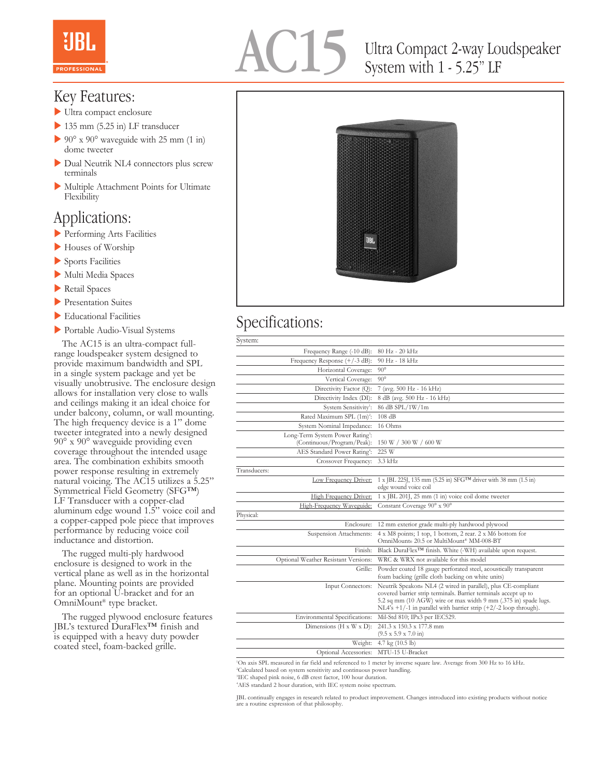

# Ultra Compact 2-way Loudspeaker System with 1 - 5.25" LF

### Key Features:

- $\blacktriangleright$  Ultra compact enclosure
- $\blacktriangleright$  135 mm (5.25 in) LF transducer
- $\geq 90^{\circ}$  x  $90^{\circ}$  waveguide with 25 mm (1 in) dome tweeter
- Dual Neutrik NL4 connectors plus screw terminals
- $\blacktriangleright$  Multiple Attachment Points for Ultimate Flexibility

### Applications:

- **Performing Arts Facilities**
- Houses of Worship
- $\blacktriangleright$  Sports Facilities
- Multi Media Spaces
- $\blacktriangleright$  Retail Spaces
- **Presentation Suites**
- $\blacktriangleright$  Educational Facilities
- Portable Audio-Visual Systems

 The AC15 is an ultra-compact fullrange loudspeaker system designed to provide maximum bandwidth and SPL in a single system package and yet be visually unobtrusive. The enclosure design allows for installation very close to walls and ceilings making it an ideal choice for under balcony, column, or wall mounting. The high frequency device is a 1" dome tweeter integrated into a newly designed 90° x 90° waveguide providing even coverage throughout the intended usage area. The combination exhibits smooth power response resulting in extremely natural voicing. The AC15 utilizes a 5.25" Symmetrical Field Geometry (SFG™) LF Transducer with a copper-clad aluminum edge wound 1.5" voice coil and a copper-capped pole piece that improves performance by reducing voice coil inductance and distortion.

 The rugged multi-ply hardwood enclosure is designed to work in the vertical plane as well as in the horizontal plane. Mounting points are provided for an optional U-bracket and for an OmniMount® type bracket.

 The rugged plywood enclosure features JBL's textured DuraFlex™ finish and is equipped with a heavy duty powder coated steel, foam-backed grille.



## Specifications:

| System:                                                                    |                                                                                                                                                                                                                                                                                     |
|----------------------------------------------------------------------------|-------------------------------------------------------------------------------------------------------------------------------------------------------------------------------------------------------------------------------------------------------------------------------------|
| Frequency Range (-10 dB):                                                  | 80 Hz - 20 kHz                                                                                                                                                                                                                                                                      |
| Frequency Response (+/-3 dB):                                              | 90 Hz - 18 kHz                                                                                                                                                                                                                                                                      |
| Horizontal Coverage:                                                       | $90^\circ$                                                                                                                                                                                                                                                                          |
| Vertical Coverage:                                                         | $90^\circ$                                                                                                                                                                                                                                                                          |
| Directivity Factor (Q):                                                    | 7 (avg. 500 Hz - 16 kHz)                                                                                                                                                                                                                                                            |
| Directivity Index (DI):                                                    | 8 dB (avg. 500 Hz - 16 kHz)                                                                                                                                                                                                                                                         |
| System Sensitivity <sup>1</sup> :                                          | 86 dB SPL/1W/1m                                                                                                                                                                                                                                                                     |
| Rated Maximum SPL (1m) <sup>2</sup> :                                      | 108 dB                                                                                                                                                                                                                                                                              |
| System Nominal Impedance:                                                  | 16 Ohms                                                                                                                                                                                                                                                                             |
| Long-Term System Power Rating <sup>3</sup> :<br>(Continuous/Program/Peak): | 150 W / 300 W / 600 W                                                                                                                                                                                                                                                               |
| AES Standard Power Rating <sup>4</sup> :                                   | 225 W                                                                                                                                                                                                                                                                               |
| Crossover Frequency:                                                       | 3.3 kHz                                                                                                                                                                                                                                                                             |
| Transducers:                                                               |                                                                                                                                                                                                                                                                                     |
| Low Frequency Driver:                                                      | 1 x [BL 225], 135 mm (5.25 in) SFG <sup>TM</sup> driver with 38 mm (1.5 in)<br>edge wound voice coil                                                                                                                                                                                |
| High Frequency Driver:                                                     | 1 x JBL 201J, 25 mm (1 in) voice coil dome tweeter                                                                                                                                                                                                                                  |
| High-Frequency Waveguide:                                                  | Constant Coverage 90° x 90°                                                                                                                                                                                                                                                         |
| Physical:                                                                  |                                                                                                                                                                                                                                                                                     |
| Enclosure:                                                                 | 12 mm exterior grade multi-ply hardwood plywood                                                                                                                                                                                                                                     |
| Suspension Attachments:                                                    | 4 x M8 points; 1 top, 1 bottom, 2 rear. 2 x M6 bottom for<br>OmniMount® 20.5 or MultiMount® MM-008-BT                                                                                                                                                                               |
| Finish:                                                                    | Black DuraFlex™ finish. White (-WH) available upon request.                                                                                                                                                                                                                         |
| Optional Weather Resistant Versions:                                       | WRC & WRX not available for this model                                                                                                                                                                                                                                              |
| Grille:                                                                    | Powder coated 18 gauge perforated steel, acoustically transparent<br>foam backing (grille cloth backing on white units)                                                                                                                                                             |
| Input Connectors:                                                          | Neutrik Speakon® NL4 (2 wired in parallel), plus CE-compliant<br>covered barrier strip terminals. Barrier terminals accept up to<br>5.2 sq mm (10 AGW) wire or max width 9 mm (.375 in) spade lugs.<br>$NIA's +1/-1$ in parallel with barrier strip $(+2/-2 \text{ loop through}).$ |
| Environmental Specifications:                                              | Mil-Std 810; IPx3 per IEC529.                                                                                                                                                                                                                                                       |
| Dimensions ( $H \times W \times D$ ):                                      | 241.3 x 150.3 x 177.8 mm<br>$(9.5 \times 5.9 \times 7.0 \text{ in})$                                                                                                                                                                                                                |
| Weight:                                                                    | 4.7 kg $(10.5 \text{ lb})$                                                                                                                                                                                                                                                          |
| Optional Accessories: MTU-15 U-Bracket                                     |                                                                                                                                                                                                                                                                                     |
| $11.6$ $2.11$ $1.6$ $1.4$<br>$^{\circ}$ $cmt$                              | $C = 200 \text{ H}$<br>$1 - 1 - 1$<br>$4$ $\ell$ 1 T T                                                                                                                                                                                                                              |

1 renced to 1 meter by inverse square law. Average

2 Calculated based on system sensitivity and continuous power handling. 3 IEC shaped pink noise, 6 dB crest factor, 100 hour duration.

4 AES standard 2 hour duration, with IEC system noise spectrum.

JBL continually engages in research related to product improvement. Changes introduced into existing products without notice are a routine expression of that philosophy.